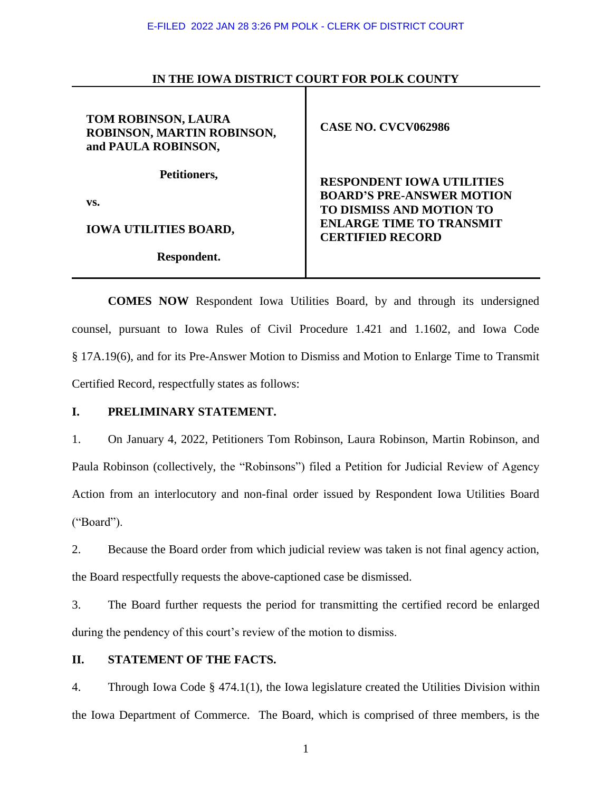## **IN THE IOWA DISTRICT COURT FOR POLK COUNTY**

| TOM ROBINSON, LAURA<br>ROBINSON, MARTIN ROBINSON,<br>and PAULA ROBINSON, | <b>CASE NO. CVCV062986</b>                                                                              |
|--------------------------------------------------------------------------|---------------------------------------------------------------------------------------------------------|
| Petitioners,<br>VS.                                                      | <b>RESPONDENT IOWA UTILITIES</b><br><b>BOARD'S PRE-ANSWER MOTION</b><br><b>TO DISMISS AND MOTION TO</b> |
| <b>IOWA UTILITIES BOARD,</b>                                             | <b>ENLARGE TIME TO TRANSMIT</b><br><b>CERTIFIED RECORD</b>                                              |
| Respondent.                                                              |                                                                                                         |

**COMES NOW** Respondent Iowa Utilities Board, by and through its undersigned counsel, pursuant to Iowa Rules of Civil Procedure 1.421 and 1.1602, and Iowa Code § 17A.19(6), and for its Pre-Answer Motion to Dismiss and Motion to Enlarge Time to Transmit Certified Record, respectfully states as follows:

# **I. PRELIMINARY STATEMENT.**

1. On January 4, 2022, Petitioners Tom Robinson, Laura Robinson, Martin Robinson, and Paula Robinson (collectively, the "Robinsons") filed a Petition for Judicial Review of Agency Action from an interlocutory and non-final order issued by Respondent Iowa Utilities Board ("Board").

2. Because the Board order from which judicial review was taken is not final agency action, the Board respectfully requests the above-captioned case be dismissed.

3. The Board further requests the period for transmitting the certified record be enlarged during the pendency of this court's review of the motion to dismiss.

## **II. STATEMENT OF THE FACTS.**

4. Through Iowa Code § 474.1(1), the Iowa legislature created the Utilities Division within the Iowa Department of Commerce. The Board, which is comprised of three members, is the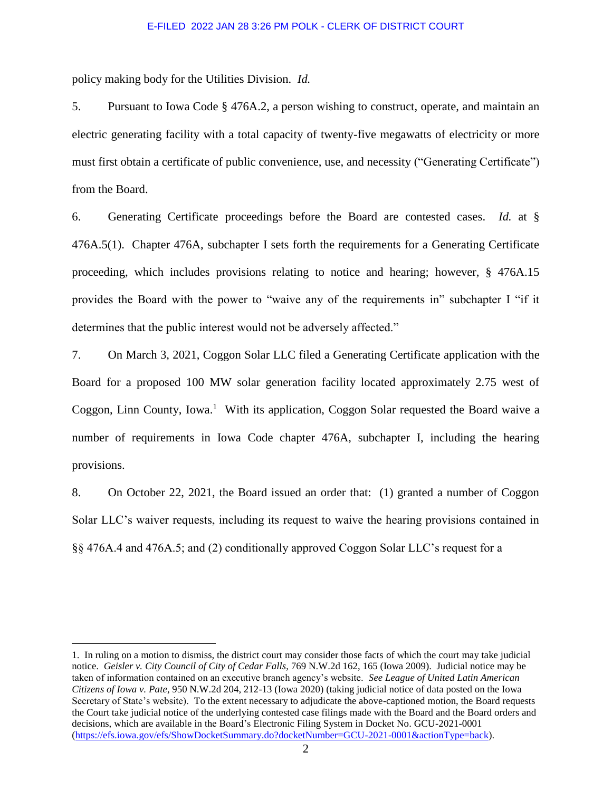policy making body for the Utilities Division. *Id.*

 $\overline{a}$ 

5. Pursuant to Iowa Code § 476A.2, a person wishing to construct, operate, and maintain an electric generating facility with a total capacity of twenty-five megawatts of electricity or more must first obtain a certificate of public convenience, use, and necessity ("Generating Certificate") from the Board.

6. Generating Certificate proceedings before the Board are contested cases. *Id.* at § 476A.5(1). Chapter 476A, subchapter I sets forth the requirements for a Generating Certificate proceeding, which includes provisions relating to notice and hearing; however, § 476A.15 provides the Board with the power to "waive any of the requirements in" subchapter I "if it determines that the public interest would not be adversely affected."

7. On March 3, 2021, Coggon Solar LLC filed a Generating Certificate application with the Board for a proposed 100 MW solar generation facility located approximately 2.75 west of Coggon, Linn County, Iowa.<sup>1</sup> With its application, Coggon Solar requested the Board waive a number of requirements in Iowa Code chapter 476A, subchapter I, including the hearing provisions.

8. On October 22, 2021, the Board issued an order that: (1) granted a number of Coggon Solar LLC's waiver requests, including its request to waive the hearing provisions contained in §§ 476A.4 and 476A.5; and (2) conditionally approved Coggon Solar LLC's request for a

<sup>1.</sup> In ruling on a motion to dismiss, the district court may consider those facts of which the court may take judicial notice. *Geisler v. City Council of City of Cedar Falls*, 769 N.W.2d 162, 165 (Iowa 2009). Judicial notice may be taken of information contained on an executive branch agency's website. *See League of United Latin American Citizens of Iowa v. Pate*, 950 N.W.2d 204, 212-13 (Iowa 2020) (taking judicial notice of data posted on the Iowa Secretary of State's website). To the extent necessary to adjudicate the above-captioned motion, the Board requests the Court take judicial notice of the underlying contested case filings made with the Board and the Board orders and decisions, which are available in the Board's Electronic Filing System in Docket No. GCU-2021-0001 [\(https://efs.iowa.gov/efs/ShowDocketSummary.do?docketNumber=GCU-2021-0001&actionType=back\)](https://efs.iowa.gov/efs/ShowDocketSummary.do?docketNumber=GCU-2021-0001&actionType=back).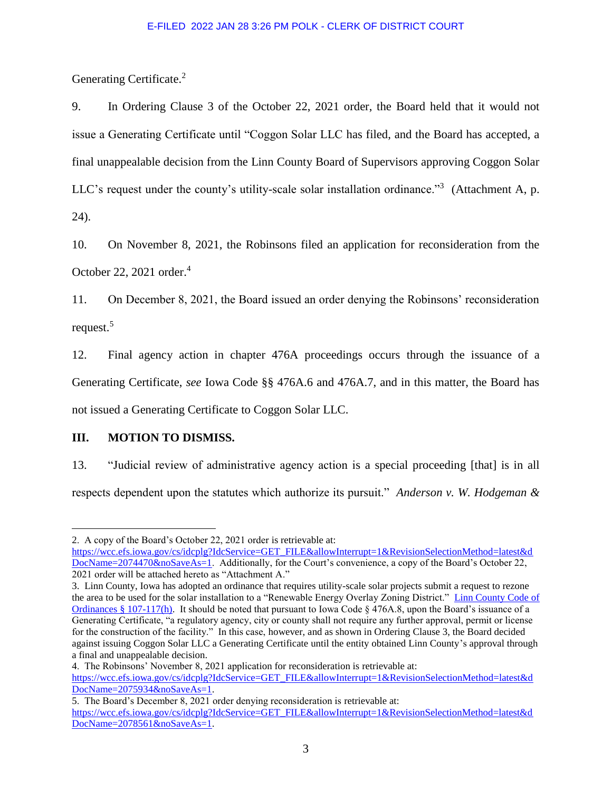Generating Certificate.<sup>2</sup>

9. In Ordering Clause 3 of the October 22, 2021 order, the Board held that it would not issue a Generating Certificate until "Coggon Solar LLC has filed, and the Board has accepted, a final unappealable decision from the Linn County Board of Supervisors approving Coggon Solar LLC's request under the county's utility-scale solar installation ordinance."<sup>3</sup> (Attachment A, p. 24).

10. On November 8, 2021, the Robinsons filed an application for reconsideration from the October 22, 2021 order.<sup>4</sup>

11. On December 8, 2021, the Board issued an order denying the Robinsons' reconsideration request. $5$ 

12. Final agency action in chapter 476A proceedings occurs through the issuance of a Generating Certificate, *see* Iowa Code §§ 476A.6 and 476A.7, and in this matter, the Board has not issued a Generating Certificate to Coggon Solar LLC.

## **III. MOTION TO DISMISS.**

13. "Judicial review of administrative agency action is a special proceeding [that] is in all respects dependent upon the statutes which authorize its pursuit." *Anderson v. W. Hodgeman &* 

 $\overline{a}$ 2. A copy of the Board's October 22, 2021 order is retrievable at:

[https://wcc.efs.iowa.gov/cs/idcplg?IdcService=GET\\_FILE&allowInterrupt=1&RevisionSelectionMethod=latest&d](https://wcc.efs.iowa.gov/cs/idcplg?IdcService=GET_FILE&allowInterrupt=1&RevisionSelectionMethod=latest&dDocName=2074470&noSaveAs=1) [DocName=2074470&noSaveAs=1.](https://wcc.efs.iowa.gov/cs/idcplg?IdcService=GET_FILE&allowInterrupt=1&RevisionSelectionMethod=latest&dDocName=2074470&noSaveAs=1) Additionally, for the Court's convenience, a copy of the Board's October 22, 2021 order will be attached hereto as "Attachment A."

<sup>3.</sup> Linn County, Iowa has adopted an ordinance that requires utility-scale solar projects submit a request to rezone the area to be used for the solar installation to a "Renewable Energy Overlay Zoning District." [Linn County Code of](https://library.municode.com/ia/linn_county/codes/code_of_ordinances?nodeId=PTIILADEOR_CH107UNDECO_ARTVISPDEST_S107-117STTRUTUS)  [Ordinances § 107-117\(h\).](https://library.municode.com/ia/linn_county/codes/code_of_ordinances?nodeId=PTIILADEOR_CH107UNDECO_ARTVISPDEST_S107-117STTRUTUS) It should be noted that pursuant to Iowa Code § 476A.8, upon the Board's issuance of a Generating Certificate, "a regulatory agency, city or county shall not require any further approval, permit or license for the construction of the facility." In this case, however, and as shown in Ordering Clause 3, the Board decided against issuing Coggon Solar LLC a Generating Certificate until the entity obtained Linn County's approval through a final and unappealable decision.

<sup>4.</sup> The Robinsons' November 8, 2021 application for reconsideration is retrievable at: [https://wcc.efs.iowa.gov/cs/idcplg?IdcService=GET\\_FILE&allowInterrupt=1&RevisionSelectionMethod=latest&d](https://wcc.efs.iowa.gov/cs/idcplg?IdcService=GET_FILE&allowInterrupt=1&RevisionSelectionMethod=latest&dDocName=2075934&noSaveAs=1) [DocName=2075934&noSaveAs=1.](https://wcc.efs.iowa.gov/cs/idcplg?IdcService=GET_FILE&allowInterrupt=1&RevisionSelectionMethod=latest&dDocName=2075934&noSaveAs=1)

<sup>5.</sup> The Board's December 8, 2021 order denying reconsideration is retrievable at: [https://wcc.efs.iowa.gov/cs/idcplg?IdcService=GET\\_FILE&allowInterrupt=1&RevisionSelectionMethod=latest&d](https://wcc.efs.iowa.gov/cs/idcplg?IdcService=GET_FILE&allowInterrupt=1&RevisionSelectionMethod=latest&dDocName=2078561&noSaveAs=1) [DocName=2078561&noSaveAs=1.](https://wcc.efs.iowa.gov/cs/idcplg?IdcService=GET_FILE&allowInterrupt=1&RevisionSelectionMethod=latest&dDocName=2078561&noSaveAs=1)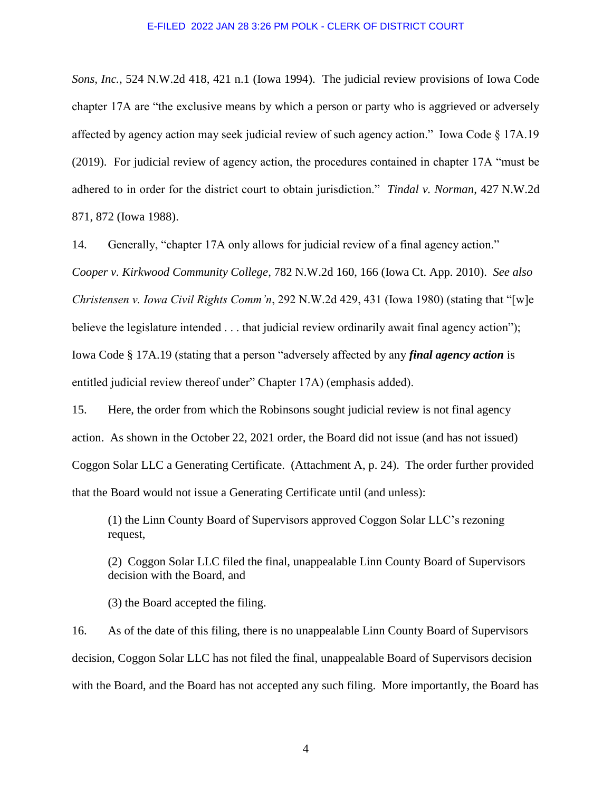*Sons, Inc.*, 524 N.W.2d 418, 421 n.1 (Iowa 1994). The judicial review provisions of Iowa Code chapter 17A are "the exclusive means by which a person or party who is aggrieved or adversely affected by agency action may seek judicial review of such agency action." Iowa Code § 17A.19 (2019). For judicial review of agency action, the procedures contained in chapter 17A "must be adhered to in order for the district court to obtain jurisdiction." *Tindal v. Norman*, 427 N.W.2d 871, 872 (Iowa 1988).

14. Generally, "chapter 17A only allows for judicial review of a final agency action." *Cooper v. Kirkwood Community College*, 782 N.W.2d 160, 166 (Iowa Ct. App. 2010). *See also Christensen v. Iowa Civil Rights Comm'n*, 292 N.W.2d 429, 431 (Iowa 1980) (stating that "[w]e believe the legislature intended . . . that judicial review ordinarily await final agency action"); Iowa Code § 17A.19 (stating that a person "adversely affected by any *final agency action* is

entitled judicial review thereof under" Chapter 17A) (emphasis added).

15. Here, the order from which the Robinsons sought judicial review is not final agency action. As shown in the October 22, 2021 order, the Board did not issue (and has not issued) Coggon Solar LLC a Generating Certificate. (Attachment A, p. 24). The order further provided that the Board would not issue a Generating Certificate until (and unless):

(1) the Linn County Board of Supervisors approved Coggon Solar LLC's rezoning request,

(2) Coggon Solar LLC filed the final, unappealable Linn County Board of Supervisors decision with the Board, and

(3) the Board accepted the filing.

16. As of the date of this filing, there is no unappealable Linn County Board of Supervisors decision, Coggon Solar LLC has not filed the final, unappealable Board of Supervisors decision with the Board, and the Board has not accepted any such filing. More importantly, the Board has

4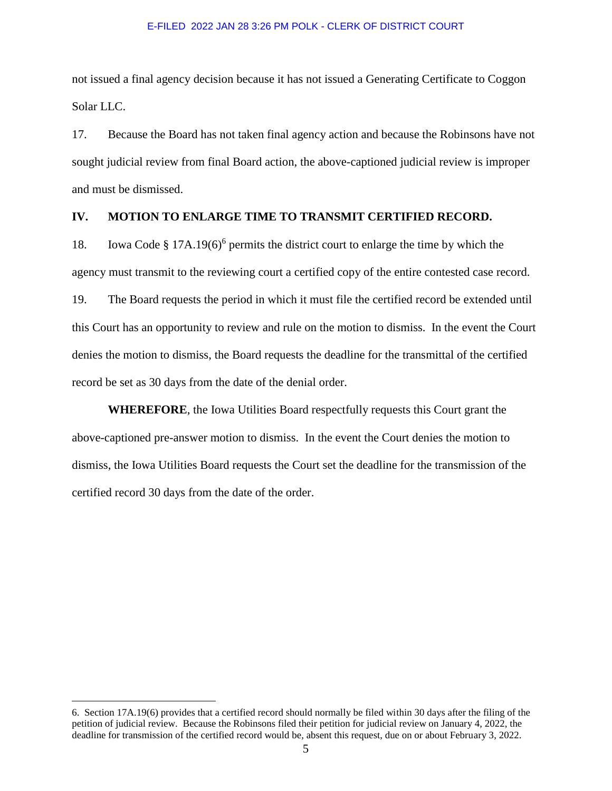not issued a final agency decision because it has not issued a Generating Certificate to Coggon Solar LLC.

17. Because the Board has not taken final agency action and because the Robinsons have not sought judicial review from final Board action, the above-captioned judicial review is improper and must be dismissed.

#### **IV. MOTION TO ENLARGE TIME TO TRANSMIT CERTIFIED RECORD.**

18. Iowa Code § 17A.19(6)<sup>6</sup> permits the district court to enlarge the time by which the agency must transmit to the reviewing court a certified copy of the entire contested case record.

19. The Board requests the period in which it must file the certified record be extended until this Court has an opportunity to review and rule on the motion to dismiss. In the event the Court denies the motion to dismiss, the Board requests the deadline for the transmittal of the certified record be set as 30 days from the date of the denial order.

**WHEREFORE**, the Iowa Utilities Board respectfully requests this Court grant the above-captioned pre-answer motion to dismiss. In the event the Court denies the motion to dismiss, the Iowa Utilities Board requests the Court set the deadline for the transmission of the certified record 30 days from the date of the order.

 $\overline{a}$ 

<sup>6.</sup> Section 17A.19(6) provides that a certified record should normally be filed within 30 days after the filing of the petition of judicial review. Because the Robinsons filed their petition for judicial review on January 4, 2022, the deadline for transmission of the certified record would be, absent this request, due on or about February 3, 2022.